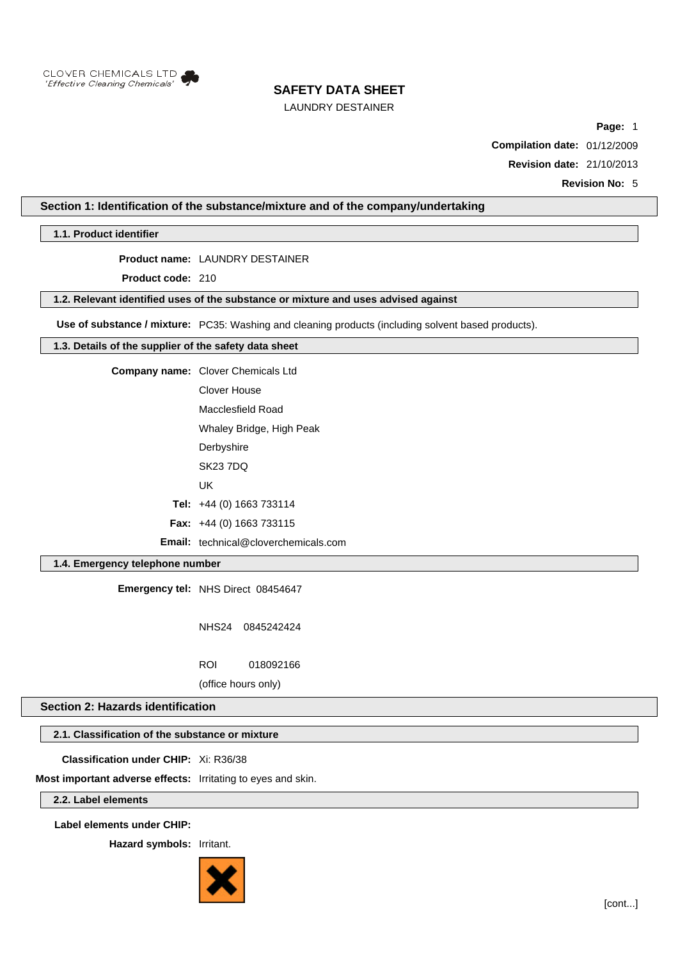

## LAUNDRY DESTAINER

**Page:** 1

**Compilation date:** 01/12/2009

**Revision date:** 21/10/2013

**Revision No:** 5

## **Section 1: Identification of the substance/mixture and of the company/undertaking**

**1.1. Product identifier**

**Product name:** LAUNDRY DESTAINER

**Product code:** 210

**1.2. Relevant identified uses of the substance or mixture and uses advised against**

**Use of substance / mixture:** PC35: Washing and cleaning products (including solvent based products).

### **1.3. Details of the supplier of the safety data sheet**

**Company name:** Clover Chemicals Ltd

Clover House Macclesfield Road

Whaley Bridge, High Peak

- **Derbyshire**
- SK23 7DQ
- UK

**Tel:** +44 (0) 1663 733114

**Fax:** +44 (0) 1663 733115

**Email:** technical@cloverchemicals.com

## **1.4. Emergency telephone number**

**Emergency tel:** NHS Direct 08454647

NHS24 0845242424

ROI 018092166

(office hours only)

## **Section 2: Hazards identification**

## **2.1. Classification of the substance or mixture**

**Classification under CHIP:** Xi: R36/38

**Most important adverse effects:** Irritating to eyes and skin.

**2.2. Label elements**

**Label elements under CHIP:**

**Hazard symbols:** Irritant.

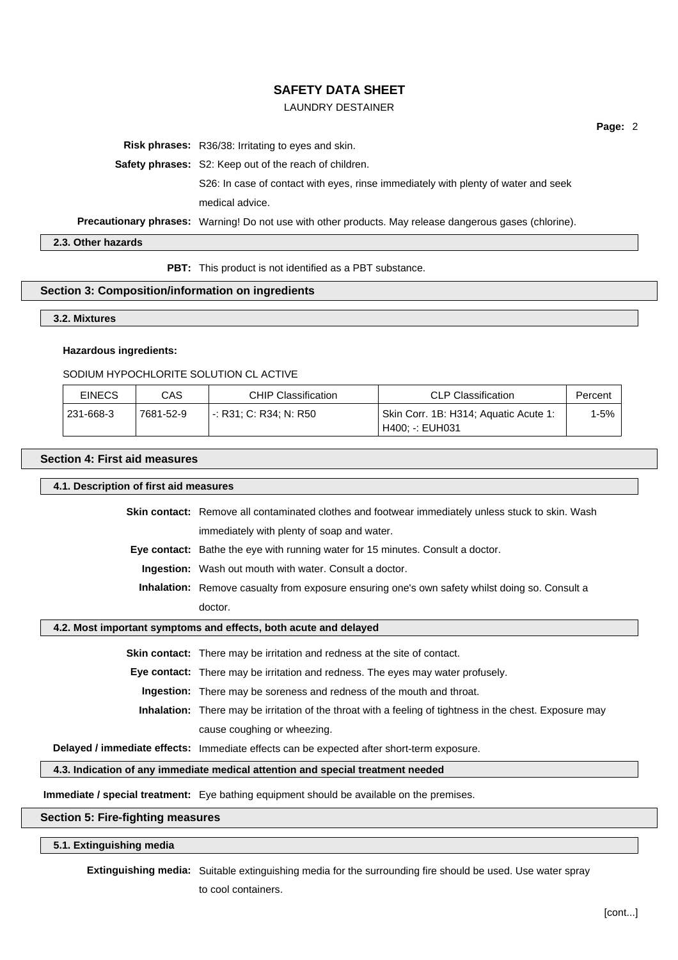### LAUNDRY DESTAINER

**Risk phrases:** R36/38: Irritating to eyes and skin.

**Safety phrases:** S2: Keep out of the reach of children.

S26: In case of contact with eyes, rinse immediately with plenty of water and seek medical advice.

**Precautionary phrases:** Warning! Do not use with other products. May release dangerous gases (chlorine).

**2.3. Other hazards**

**PBT:** This product is not identified as a PBT substance.

### **Section 3: Composition/information on ingredients**

#### **3.2. Mixtures**

#### **Hazardous ingredients:**

#### SODIUM HYPOCHLORITE SOLUTION CL ACTIVE

| <b>EINECS</b> | CAS       | <b>CHIP Classification</b> | <b>CLP Classification</b>                                | Percent   |
|---------------|-----------|----------------------------|----------------------------------------------------------|-----------|
| 231-668-3     | 7681-52-9 | -: R31: C: R34: N: R50     | Skin Corr. 1B: H314; Aquatic Acute 1:<br>H400: -: EUH031 | $1-5\%$ . |

### **Section 4: First aid measures**

**4.1. Description of first aid measures Skin contact:** Remove all contaminated clothes and footwear immediately unless stuck to skin. Wash

immediately with plenty of soap and water.

**Eye contact:** Bathe the eye with running water for 15 minutes. Consult a doctor.

**Ingestion:** Wash out mouth with water. Consult a doctor.

**Inhalation:** Remove casualty from exposure ensuring one's own safety whilst doing so. Consult a doctor.

## **4.2. Most important symptoms and effects, both acute and delayed**

**Skin contact:** There may be irritation and redness at the site of contact.

**Eye contact:** There may be irritation and redness. The eyes may water profusely.

**Ingestion:** There may be soreness and redness of the mouth and throat.

**Inhalation:** There may be irritation of the throat with a feeling of tightness in the chest. Exposure may cause coughing or wheezing.

**Delayed / immediate effects:** Immediate effects can be expected after short-term exposure.

**4.3. Indication of any immediate medical attention and special treatment needed**

**Immediate / special treatment:** Eye bathing equipment should be available on the premises.

## **Section 5: Fire-fighting measures**

### **5.1. Extinguishing media**

**Extinguishing media:** Suitable extinguishing media for the surrounding fire should be used. Use water spray

to cool containers.

**Page:** 2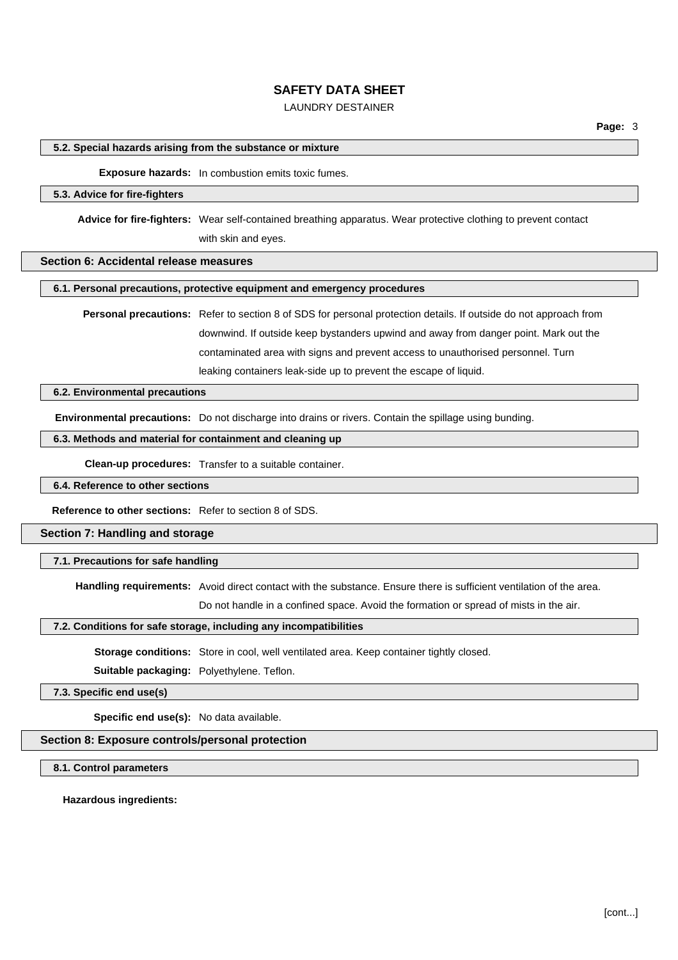## LAUNDRY DESTAINER

#### **5.2. Special hazards arising from the substance or mixture**

### **Exposure hazards:** In combustion emits toxic fumes.

#### **5.3. Advice for fire-fighters**

**Advice for fire-fighters:** Wear self-contained breathing apparatus. Wear protective clothing to prevent contact with skin and eyes.

## **Section 6: Accidental release measures**

#### **6.1. Personal precautions, protective equipment and emergency procedures**

**Personal precautions:** Refer to section 8 of SDS for personal protection details. If outside do not approach from downwind. If outside keep bystanders upwind and away from danger point. Mark out the contaminated area with signs and prevent access to unauthorised personnel. Turn leaking containers leak-side up to prevent the escape of liquid.

### **6.2. Environmental precautions**

**Environmental precautions:** Do not discharge into drains or rivers. Contain the spillage using bunding.

## **6.3. Methods and material for containment and cleaning up**

**Clean-up procedures:** Transfer to a suitable container.

#### **6.4. Reference to other sections**

**Reference to other sections:** Refer to section 8 of SDS.

**Section 7: Handling and storage**

#### **7.1. Precautions for safe handling**

**Handling requirements:** Avoid direct contact with the substance. Ensure there is sufficient ventilation of the area.

Do not handle in a confined space. Avoid the formation or spread of mists in the air.

#### **7.2. Conditions for safe storage, including any incompatibilities**

**Storage conditions:** Store in cool, well ventilated area. Keep container tightly closed.

**Suitable packaging:** Polyethylene. Teflon.

### **7.3. Specific end use(s)**

**Specific end use(s):** No data available.

### **Section 8: Exposure controls/personal protection**

**8.1. Control parameters**

**Hazardous ingredients:**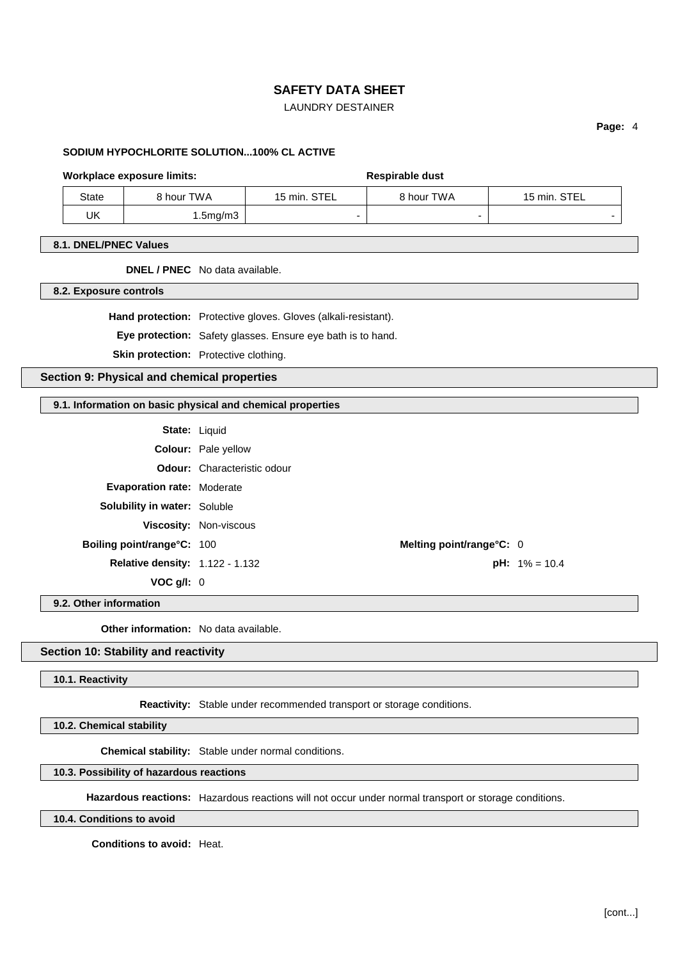## LAUNDRY DESTAINER

**Page:** 4

### **SODIUM HYPOCHLORITE SOLUTION...100% CL ACTIVE**

#### Workplace exposure limits: **Respirable dust** Respirable dust

| State | 8 hour TWA | 15 min. STEL | 3 hour TWA | STEL<br>$15 \text{ min.}$ |
|-------|------------|--------------|------------|---------------------------|
| UK    | 1.5mg/m3   |              | -          |                           |

### **8.1. DNEL/PNEC Values**

### **DNEL / PNEC** No data available.

**8.2. Exposure controls**

**Hand protection:** Protective gloves. Gloves (alkali-resistant).

**Eye protection:** Safety glasses. Ensure eye bath is to hand.

**Skin protection:** Protective clothing.

**Section 9: Physical and chemical properties**

## **9.1. Information on basic physical and chemical properties**

|                                        | <b>State: Liquid</b>               |  |
|----------------------------------------|------------------------------------|--|
|                                        | <b>Colour:</b> Pale yellow         |  |
|                                        | <b>Odour:</b> Characteristic odour |  |
| <b>Evaporation rate: Moderate</b>      |                                    |  |
| <b>Solubility in water: Soluble</b>    |                                    |  |
|                                        | <b>Viscosity: Non-viscous</b>      |  |
| Boiling point/range°C: 100             | Melting point/range°C: 0           |  |
| <b>Relative density: 1.122 - 1.132</b> | <b>pH:</b> 1                       |  |
| VOC q/l: 0                             |                                    |  |

**9.2. Other information**

**Other information:** No data available.

### **Section 10: Stability and reactivity**

## **10.1. Reactivity**

**Reactivity:** Stable under recommended transport or storage conditions.

**10.2. Chemical stability**

**Chemical stability:** Stable under normal conditions.

### **10.3. Possibility of hazardous reactions**

**Hazardous reactions:** Hazardous reactions will not occur under normal transport or storage conditions.

**10.4. Conditions to avoid**

**Conditions to avoid:** Heat.

**pH:**  $1\% = 10.4$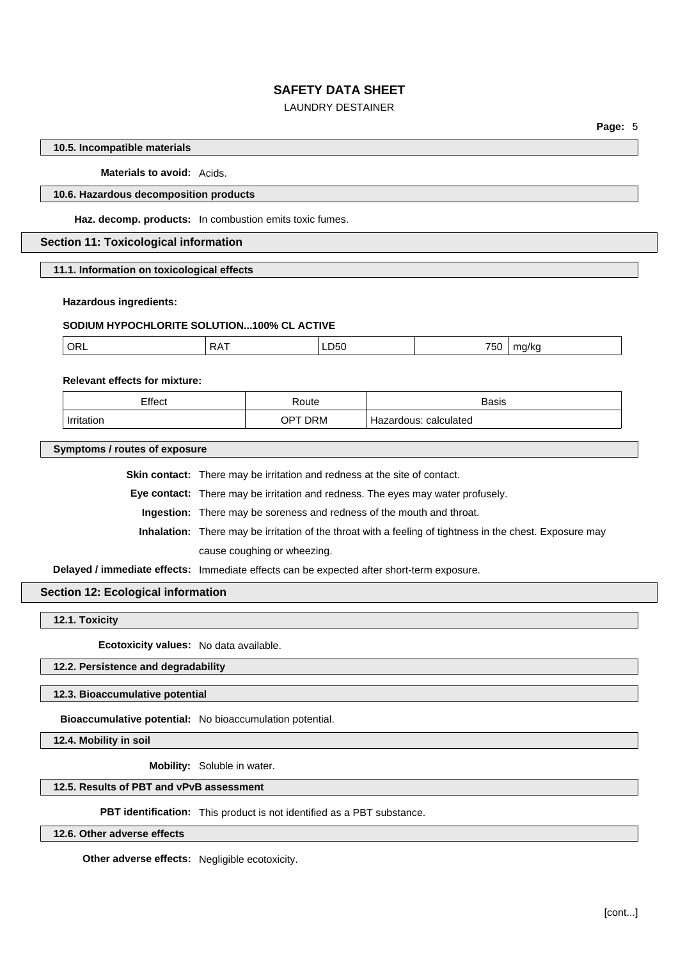## LAUNDRY DESTAINER

**Page:** 5

### **10.5. Incompatible materials**

#### **Materials to avoid:** Acids.

## **10.6. Hazardous decomposition products**

**Haz. decomp. products:** In combustion emits toxic fumes.

### **Section 11: Toxicological information**

**11.1. Information on toxicological effects**

#### **Hazardous ingredients:**

#### **SODIUM HYPOCHLORITE SOLUTION...100% CL ACTIVE**

| ORL<br>350<br>. |  |
|-----------------|--|
|-----------------|--|

#### **Relevant effects for mixture:**

| Effect     | `≺oute  | Basis                              |
|------------|---------|------------------------------------|
| Irritation | JPT DRM | calculated<br>zardous <sup>.</sup> |

**Symptoms / routes of exposure**

**Skin contact:** There may be irritation and redness at the site of contact.

**Eye contact:** There may be irritation and redness. The eyes may water profusely.

**Ingestion:** There may be soreness and redness of the mouth and throat.

**Inhalation:** There may be irritation of the throat with a feeling of tightness in the chest. Exposure may cause coughing or wheezing.

**Delayed / immediate effects:** Immediate effects can be expected after short-term exposure.

### **Section 12: Ecological information**

**12.1. Toxicity**

**Ecotoxicity values:** No data available.

## **12.2. Persistence and degradability**

**12.3. Bioaccumulative potential**

**Bioaccumulative potential:** No bioaccumulation potential.

**12.4. Mobility in soil**

**Mobility:** Soluble in water.

#### **12.5. Results of PBT and vPvB assessment**

**PBT identification:** This product is not identified as a PBT substance.

**12.6. Other adverse effects**

**Other adverse effects:** Negligible ecotoxicity.